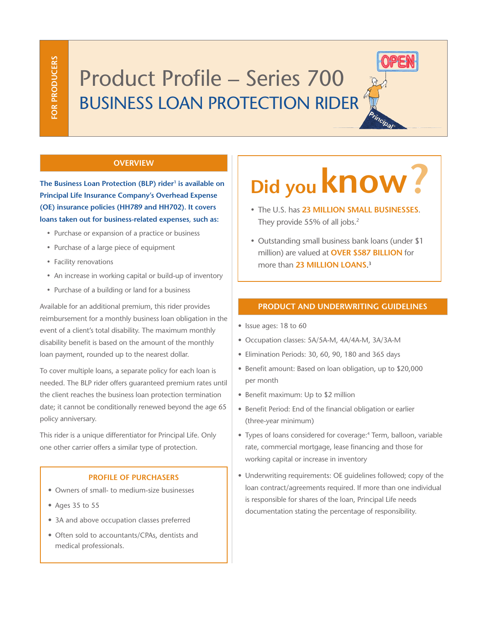# Product Profile – Series 700 BUSINESS LOAN PROTECTION RIDER

## **OVERVIEW**

**The Business Loan Protection (BLP) rider<sup>1</sup> is available on Principal Life Insurance Company's Overhead Expense (OE) insurance policies (HH789 and HH702). It covers loans taken out for business-related expenses, such as:**

- Purchase or expansion of a practice or business
- • Purchase of a large piece of equipment
- Facility renovations
- An increase in working capital or build-up of inventory
- Purchase of a building or land for a business

Available for an additional premium, this rider provides reimbursement for a monthly business loan obligation in the event of a client's total disability. The maximum monthly disability benefit is based on the amount of the monthly loan payment, rounded up to the nearest dollar.

To cover multiple loans, a separate policy for each loan is needed. The BLP rider offers guaranteed premium rates until the client reaches the business loan protection termination date; it cannot be conditionally renewed beyond the age 65 policy anniversary.

This rider is a unique differentiator for Principal Life. Only one other carrier offers a similar type of protection.

#### **PROFILE OF PURCHASERS**

- Owners of small- to medium-size businesses
- Ages 35 to 55
- 3A and above occupation classes preferred
- Often sold to accountants/CPAs, dentists and medical professionals.

# **Did you know?**

- • The U.S. has **23 MILLION SMALL BUSINESSES**. They provide 55% of all jobs.<sup>2</sup>
- Outstanding small business bank loans (under \$1 million) are valued at **OVER \$587 BILLION** for more than **23 MILLION LOANS**. 3

#### **PRODUCT AND UNDERWRITING GUIDELINES**

- Issue ages: 18 to 60
- Occupation classes: 5A/5A-M, 4A/4A-M, 3A/3A-M
- Elimination Periods: 30, 60, 90, 180 and 365 days
- Benefit amount: Based on loan obligation, up to \$20,000 per month
- Benefit maximum: Up to \$2 million
- Benefit Period: End of the financial obligation or earlier (three-year minimum)
- Types of loans considered for coverage:<sup>4</sup> Term, balloon, variable rate, commercial mortgage, lease financing and those for working capital or increase in inventory
- Underwriting requirements: OE guidelines followed; copy of the loan contract/agreements required. If more than one individual is responsible for shares of the loan, Principal Life needs documentation stating the percentage of responsibility.